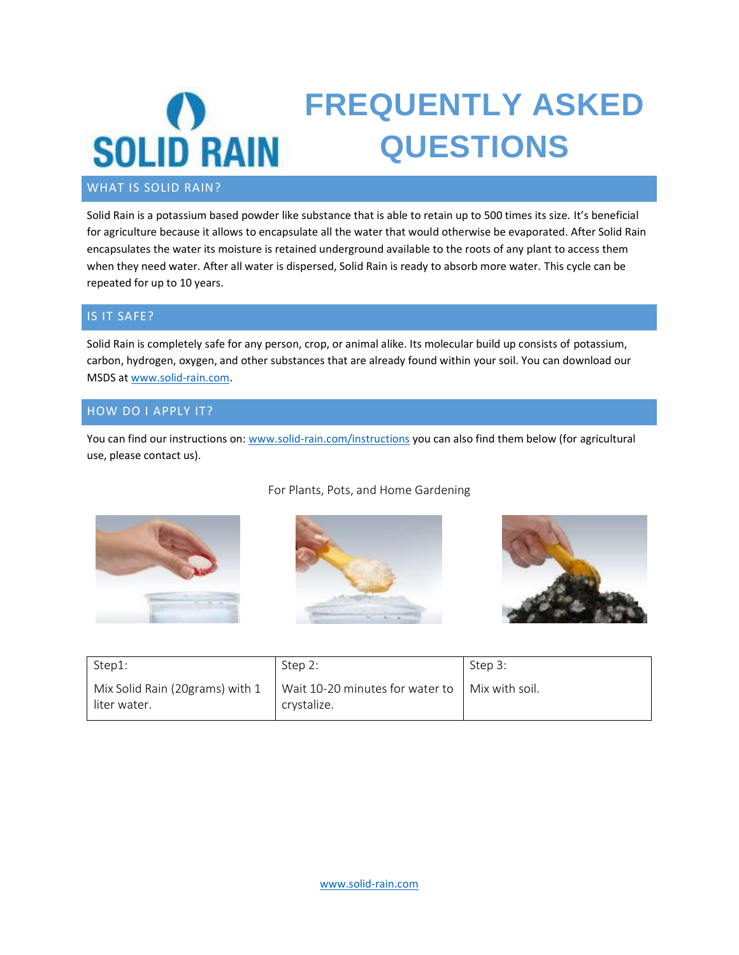

#### WHAT IS SOLID RAIN?

Solid Rain is a potassium based powder like substance that is able to retain up to 500 times its size. It's beneficial for agriculture because it allows to encapsulate all the water that would otherwise be evaporated. After Solid Rain encapsulates the water its moisture is retained underground available to the roots of any plant to access them when they need water. After all water is dispersed, Solid Rain is ready to absorb more water. This cycle can be repeated for up to 10 years.

#### IS IT SAFE?

Solid Rain is completely safe for any person, crop, or animal alike. Its molecular build up consists of potassium, carbon, hydrogen, oxygen, and other substances that are already found within your soil. You can download our MSDS a[t www.solid-rain.com.](http://www.solid-rain.com/)

#### HOW DO I APPLY IT?

You can find our instructions on: [www.solid-rain.com/instructions](http://www.solid-rain.com/instructions) you can also find them below (for agricultural use, please contact us).



#### For Plants, Pots, and Home Gardening





| Step1:                                          | Step 2:                                                                   | Step 3: |
|-------------------------------------------------|---------------------------------------------------------------------------|---------|
| Mix Solid Rain (20grams) with 1<br>liter water. | Wait 10-20 minutes for water to $\parallel$ Mix with soil.<br>crystalize. |         |